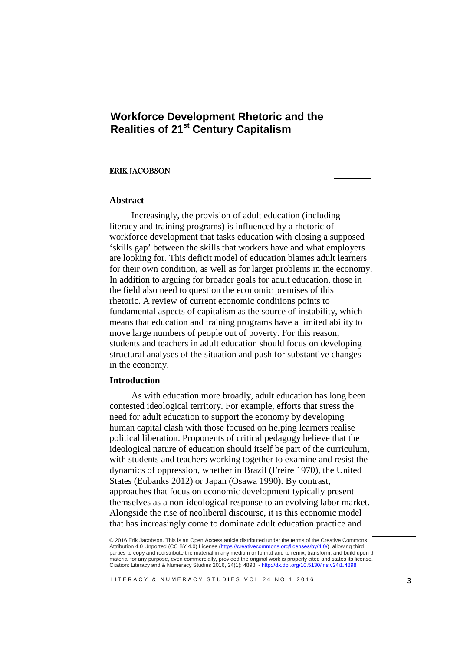# **Workforce Development Rhetoric and the Realities of 21st Century Capitalism**

#### ERIK JACOBSON

#### **Abstract**

Increasingly, the provision of adult education (including literacy and training programs) is influenced by a rhetoric of workforce development that tasks education with closing a supposed 'skills gap' between the skills that workers have and what employers are looking for. This deficit model of education blames adult learners for their own condition, as well as for larger problems in the economy. In addition to arguing for broader goals for adult education, those in the field also need to question the economic premises of this rhetoric. A review of current economic conditions points to fundamental aspects of capitalism as the source of instability, which means that education and training programs have a limited ability to move large numbers of people out of poverty. For this reason, students and teachers in adult education should focus on developing structural analyses of the situation and push for substantive changes in the economy.

#### **Introduction**

As with education more broadly, adult education has long been contested ideological territory. For example, efforts that stress the need for adult education to support the economy by developing human capital clash with those focused on helping learners realise political liberation. Proponents of critical pedagogy believe that the ideological nature of education should itself be part of the curriculum, with students and teachers working together to examine and resist the dynamics of oppression, whether in Brazil (Freire 1970), the United States (Eubanks 2012) or Japan (Osawa 1990). By contrast, approaches that focus on economic development typically present themselves as a non-ideological response to an evolving labor market. Alongside the rise of neoliberal discourse, it is this economic model that has increasingly come to dominate adult education practice and

LITERACY & NUMERACY STUDIES VOL 24 NO 1 2016

<sup>© 2016</sup> Erik Jacobson. This is an Open Access article distributed under the terms of the Creative Commons Attribution 4.0 Unported (CC BY 4.0) License [\(https://creativecommons.org/licenses/by/4.0/\)](https://creativecommons.org/licenses/by/4.0/), allowing third parties to copy and redistribute the material in any medium or format and to remix, transform, and build upon tl material for any purpose, even commercially, provided the original work is properly cited and states its license. Citation: Literacy and & Numeracy Studies 2016, 24(1): 4898, - <http://dx.doi.org/10.5130/lns.v24i1.4898>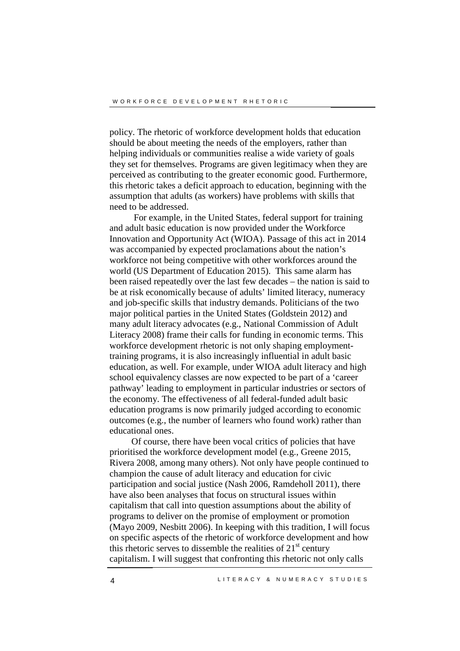policy. The rhetoric of workforce development holds that education should be about meeting the needs of the employers, rather than helping individuals or communities realise a wide variety of goals they set for themselves. Programs are given legitimacy when they are perceived as contributing to the greater economic good. Furthermore, this rhetoric takes a deficit approach to education, beginning with the assumption that adults (as workers) have problems with skills that need to be addressed.

For example, in the United States, federal support for training and adult basic education is now provided under the Workforce Innovation and Opportunity Act (WIOA). Passage of this act in 2014 was accompanied by expected proclamations about the nation's workforce not being competitive with other workforces around the world (US Department of Education 2015). This same alarm has been raised repeatedly over the last few decades – the nation is said to be at risk economically because of adults' limited literacy, numeracy and job-specific skills that industry demands. Politicians of the two major political parties in the United States (Goldstein 2012) and many adult literacy advocates (e.g., National Commission of Adult Literacy 2008) frame their calls for funding in economic terms. This workforce development rhetoric is not only shaping employmenttraining programs, it is also increasingly influential in adult basic education, as well. For example, under WIOA adult literacy and high school equivalency classes are now expected to be part of a 'career pathway' leading to employment in particular industries or sectors of the economy. The effectiveness of all federal-funded adult basic education programs is now primarily judged according to economic outcomes (e.g., the number of learners who found work) rather than educational ones.

Of course, there have been vocal critics of policies that have prioritised the workforce development model (e.g., Greene 2015, Rivera 2008, among many others). Not only have people continued to champion the cause of adult literacy and education for civic participation and social justice (Nash 2006, Ramdeholl 2011), there have also been analyses that focus on structural issues within capitalism that call into question assumptions about the ability of programs to deliver on the promise of employment or promotion (Mayo 2009, Nesbitt 2006). In keeping with this tradition, I will focus on specific aspects of the rhetoric of workforce development and how this rhetoric serves to dissemble the realities of  $21<sup>st</sup>$  century capitalism. I will suggest that confronting this rhetoric not only calls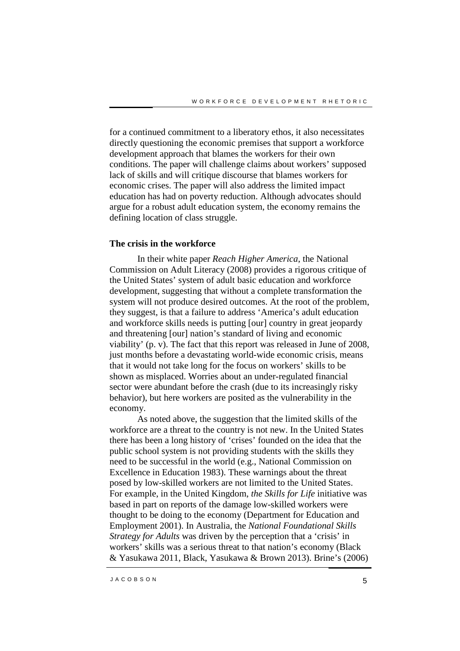for a continued commitment to a liberatory ethos, it also necessitates directly questioning the economic premises that support a workforce development approach that blames the workers for their own conditions. The paper will challenge claims about workers' supposed lack of skills and will critique discourse that blames workers for economic crises. The paper will also address the limited impact education has had on poverty reduction. Although advocates should argue for a robust adult education system, the economy remains the defining location of class struggle.

# **The crisis in the workforce**

In their white paper *Reach Higher America*, the National Commission on Adult Literacy (2008) provides a rigorous critique of the United States' system of adult basic education and workforce development, suggesting that without a complete transformation the system will not produce desired outcomes. At the root of the problem, they suggest, is that a failure to address 'America's adult education and workforce skills needs is putting [our] country in great jeopardy and threatening [our] nation's standard of living and economic viability' (p. v). The fact that this report was released in June of 2008, just months before a devastating world-wide economic crisis, means that it would not take long for the focus on workers' skills to be shown as misplaced. Worries about an under-regulated financial sector were abundant before the crash (due to its increasingly risky behavior), but here workers are posited as the vulnerability in the economy.

As noted above, the suggestion that the limited skills of the workforce are a threat to the country is not new. In the United States there has been a long history of 'crises' founded on the idea that the public school system is not providing students with the skills they need to be successful in the world (e.g., National Commission on Excellence in Education 1983). These warnings about the threat posed by low-skilled workers are not limited to the United States. For example, in the United Kingdom, *the Skills for Life* initiative was based in part on reports of the damage low-skilled workers were thought to be doing to the economy (Department for Education and Employment 2001). In Australia, the *National Foundational Skills Strategy for Adults* was driven by the perception that a 'crisis' in workers' skills was a serious threat to that nation's economy (Black & Yasukawa 2011, Black, Yasukawa & Brown 2013). Brine's (2006)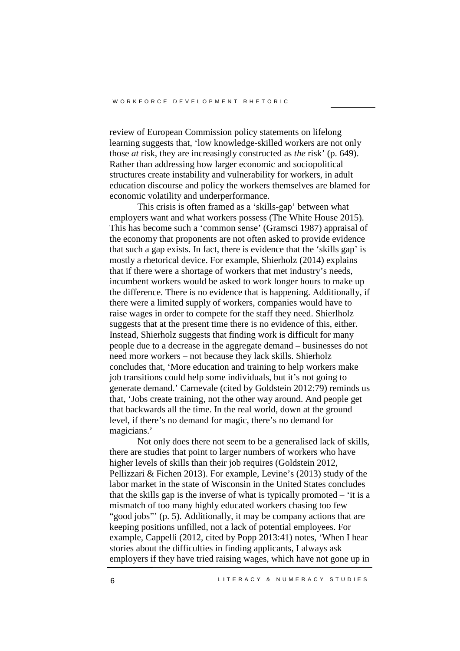review of European Commission policy statements on lifelong learning suggests that, 'low knowledge-skilled workers are not only those *at* risk, they are increasingly constructed as *the* risk' (p. 649). Rather than addressing how larger economic and sociopolitical structures create instability and vulnerability for workers, in adult education discourse and policy the workers themselves are blamed for economic volatility and underperformance.

This crisis is often framed as a 'skills-gap' between what employers want and what workers possess (The White House 2015). This has become such a 'common sense' (Gramsci 1987) appraisal of the economy that proponents are not often asked to provide evidence that such a gap exists. In fact, there is evidence that the 'skills gap' is mostly a rhetorical device. For example, Shierholz (2014) explains that if there were a shortage of workers that met industry's needs, incumbent workers would be asked to work longer hours to make up the difference. There is no evidence that is happening. Additionally, if there were a limited supply of workers, companies would have to raise wages in order to compete for the staff they need. Shierlholz suggests that at the present time there is no evidence of this, either. Instead, Shierholz suggests that finding work is difficult for many people due to a decrease in the aggregate demand – businesses do not need more workers – not because they lack skills. Shierholz concludes that, 'More education and training to help workers make job transitions could help some individuals, but it's not going to generate demand.' Carnevale (cited by Goldstein 2012:79) reminds us that, 'Jobs create training, not the other way around. And people get that backwards all the time. In the real world, down at the ground level, if there's no demand for magic, there's no demand for magicians.'

Not only does there not seem to be a generalised lack of skills, there are studies that point to larger numbers of workers who have higher levels of skills than their job requires (Goldstein 2012, Pellizzari & Fichen 2013). For example, Levine's (2013) study of the labor market in the state of Wisconsin in the United States concludes that the skills gap is the inverse of what is typically promoted – 'it is a mismatch of too many highly educated workers chasing too few "good jobs"' (p. 5). Additionally, it may be company actions that are keeping positions unfilled, not a lack of potential employees. For example, Cappelli (2012, cited by Popp 2013:41) notes, 'When I hear stories about the difficulties in finding applicants, I always ask employers if they have tried raising wages, which have not gone up in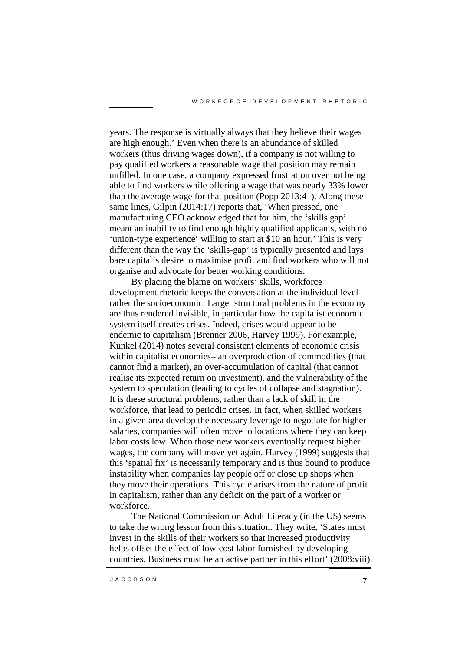years. The response is virtually always that they believe their wages are high enough.' Even when there is an abundance of skilled workers (thus driving wages down), if a company is not willing to pay qualified workers a reasonable wage that position may remain unfilled. In one case, a company expressed frustration over not being able to find workers while offering a wage that was nearly 33% lower than the average wage for that position (Popp 2013:41). Along these same lines, Gilpin (2014:17) reports that, 'When pressed, one manufacturing CEO acknowledged that for him, the 'skills gap' meant an inability to find enough highly qualified applicants, with no 'union-type experience' willing to start at \$10 an hour.' This is very different than the way the 'skills-gap' is typically presented and lays bare capital's desire to maximise profit and find workers who will not organise and advocate for better working conditions.

By placing the blame on workers' skills, workforce development rhetoric keeps the conversation at the individual level rather the socioeconomic. Larger structural problems in the economy are thus rendered invisible, in particular how the capitalist economic system itself creates crises. Indeed, crises would appear to be endemic to capitalism (Brenner 2006, Harvey 1999). For example, Kunkel (2014) notes several consistent elements of economic crisis within capitalist economies– an overproduction of commodities (that cannot find a market), an over-accumulation of capital (that cannot realise its expected return on investment), and the vulnerability of the system to speculation (leading to cycles of collapse and stagnation). It is these structural problems, rather than a lack of skill in the workforce, that lead to periodic crises. In fact, when skilled workers in a given area develop the necessary leverage to negotiate for higher salaries, companies will often move to locations where they can keep labor costs low. When those new workers eventually request higher wages, the company will move yet again. Harvey (1999) suggests that this 'spatial fix' is necessarily temporary and is thus bound to produce instability when companies lay people off or close up shops when they move their operations. This cycle arises from the nature of profit in capitalism, rather than any deficit on the part of a worker or workforce.

The National Commission on Adult Literacy (in the US) seems to take the wrong lesson from this situation. They write, 'States must invest in the skills of their workers so that increased productivity helps offset the effect of low-cost labor furnished by developing countries. Business must be an active partner in this effort' (2008:viii).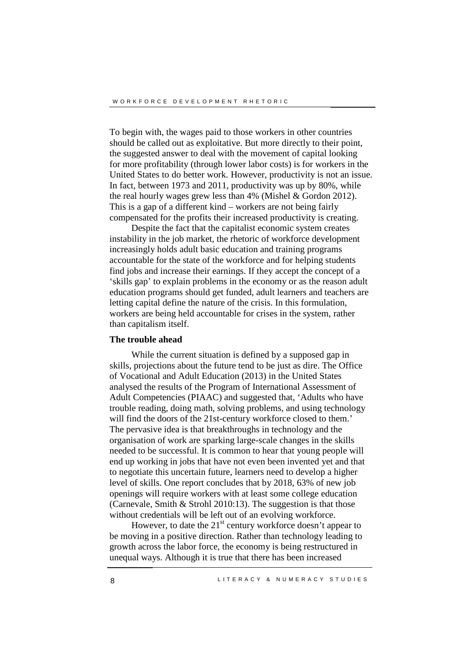To begin with, the wages paid to those workers in other countries should be called out as exploitative. But more directly to their point, the suggested answer to deal with the movement of capital looking for more profitability (through lower labor costs) is for workers in the United States to do better work. However, productivity is not an issue. In fact, between 1973 and 2011, productivity was up by 80%, while the real hourly wages grew less than 4% (Mishel & Gordon 2012). This is a gap of a different kind – workers are not being fairly compensated for the profits their increased productivity is creating.

Despite the fact that the capitalist economic system creates instability in the job market, the rhetoric of workforce development increasingly holds adult basic education and training programs accountable for the state of the workforce and for helping students find jobs and increase their earnings. If they accept the concept of a 'skills gap' to explain problems in the economy or as the reason adult education programs should get funded, adult learners and teachers are letting capital define the nature of the crisis. In this formulation, workers are being held accountable for crises in the system, rather than capitalism itself.

#### **The trouble ahead**

While the current situation is defined by a supposed gap in skills, projections about the future tend to be just as dire. The Office of Vocational and Adult Education (2013) in the United States analysed the results of the Program of International Assessment of Adult Competencies (PIAAC) and suggested that, 'Adults who have trouble reading, doing math, solving problems, and using technology will find the doors of the 21st-century workforce closed to them.' The pervasive idea is that breakthroughs in technology and the organisation of work are sparking large-scale changes in the skills needed to be successful. It is common to hear that young people will end up working in jobs that have not even been invented yet and that to negotiate this uncertain future, learners need to develop a higher level of skills. One report concludes that by 2018, 63% of new job openings will require workers with at least some college education (Carnevale, Smith & Strohl 2010:13). The suggestion is that those without credentials will be left out of an evolving workforce.

However, to date the  $21<sup>st</sup>$  century workforce doesn't appear to be moving in a positive direction. Rather than technology leading to growth across the labor force, the economy is being restructured in unequal ways. Although it is true that there has been increased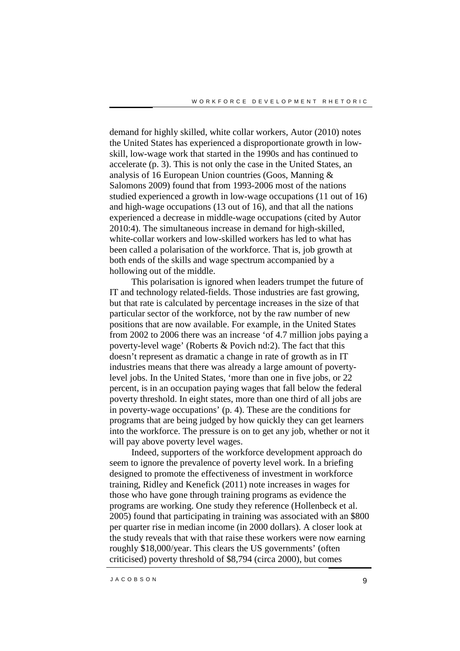demand for highly skilled, white collar workers, Autor (2010) notes the United States has experienced a disproportionate growth in lowskill, low-wage work that started in the 1990s and has continued to accelerate (p. 3). This is not only the case in the United States, an analysis of 16 European Union countries (Goos, Manning & Salomons 2009) found that from 1993-2006 most of the nations studied experienced a growth in low-wage occupations (11 out of 16) and high-wage occupations (13 out of 16), and that all the nations experienced a decrease in middle-wage occupations (cited by Autor 2010:4). The simultaneous increase in demand for high-skilled, white-collar workers and low-skilled workers has led to what has been called a polarisation of the workforce. That is, job growth at both ends of the skills and wage spectrum accompanied by a hollowing out of the middle.

This polarisation is ignored when leaders trumpet the future of IT and technology related-fields. Those industries are fast growing, but that rate is calculated by percentage increases in the size of that particular sector of the workforce, not by the raw number of new positions that are now available. For example, in the United States from 2002 to 2006 there was an increase 'of 4.7 million jobs paying a poverty-level wage' (Roberts & Povich nd:2). The fact that this doesn't represent as dramatic a change in rate of growth as in IT industries means that there was already a large amount of povertylevel jobs. In the United States, 'more than one in five jobs, or 22 percent, is in an occupation paying wages that fall below the federal poverty threshold. In eight states, more than one third of all jobs are in poverty-wage occupations' (p. 4). These are the conditions for programs that are being judged by how quickly they can get learners into the workforce. The pressure is on to get any job, whether or not it will pay above poverty level wages.

Indeed, supporters of the workforce development approach do seem to ignore the prevalence of poverty level work. In a briefing designed to promote the effectiveness of investment in workforce training, Ridley and Kenefick (2011) note increases in wages for those who have gone through training programs as evidence the programs are working. One study they reference (Hollenbeck et al. 2005) found that participating in training was associated with an \$800 per quarter rise in median income (in 2000 dollars). A closer look at the study reveals that with that raise these workers were now earning roughly \$18,000/year. This clears the US governments' (often criticised) poverty threshold of \$8,794 (circa 2000), but comes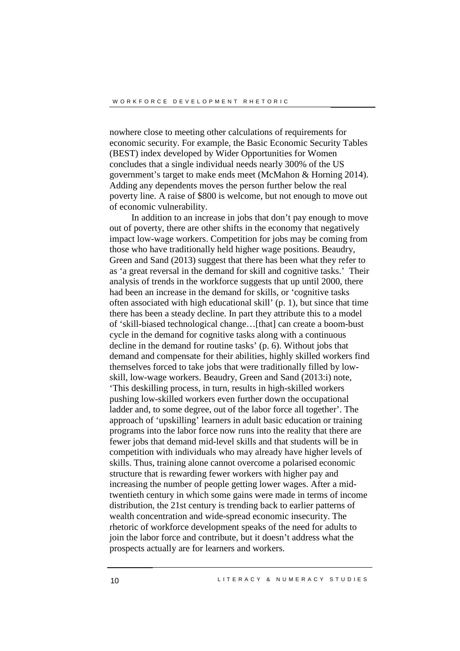nowhere close to meeting other calculations of requirements for economic security. For example, the Basic Economic Security Tables (BEST) index developed by Wider Opportunities for Women concludes that a single individual needs nearly 300% of the US government's target to make ends meet (McMahon & Horning 2014). Adding any dependents moves the person further below the real poverty line. A raise of \$800 is welcome, but not enough to move out of economic vulnerability.

In addition to an increase in jobs that don't pay enough to move out of poverty, there are other shifts in the economy that negatively impact low-wage workers. Competition for jobs may be coming from those who have traditionally held higher wage positions. Beaudry, Green and Sand (2013) suggest that there has been what they refer to as 'a great reversal in the demand for skill and cognitive tasks.' Their analysis of trends in the workforce suggests that up until 2000, there had been an increase in the demand for skills, or 'cognitive tasks often associated with high educational skill' (p. 1), but since that time there has been a steady decline. In part they attribute this to a model of 'skill-biased technological change…[that] can create a boom-bust cycle in the demand for cognitive tasks along with a continuous decline in the demand for routine tasks' (p. 6). Without jobs that demand and compensate for their abilities, highly skilled workers find themselves forced to take jobs that were traditionally filled by lowskill, low-wage workers. Beaudry, Green and Sand (2013:i) note, 'This deskilling process, in turn, results in high-skilled workers pushing low-skilled workers even further down the occupational ladder and, to some degree, out of the labor force all together'. The approach of 'upskilling' learners in adult basic education or training programs into the labor force now runs into the reality that there are fewer jobs that demand mid-level skills and that students will be in competition with individuals who may already have higher levels of skills. Thus, training alone cannot overcome a polarised economic structure that is rewarding fewer workers with higher pay and increasing the number of people getting lower wages. After a midtwentieth century in which some gains were made in terms of income distribution, the 21st century is trending back to earlier patterns of wealth concentration and wide-spread economic insecurity. The rhetoric of workforce development speaks of the need for adults to join the labor force and contribute, but it doesn't address what the prospects actually are for learners and workers.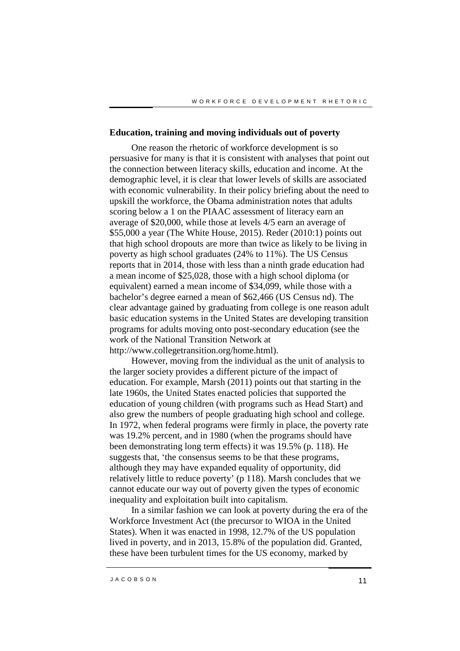#### **Education, training and moving individuals out of poverty**

One reason the rhetoric of workforce development is so persuasive for many is that it is consistent with analyses that point out the connection between literacy skills, education and income. At the demographic level, it is clear that lower levels of skills are associated with economic vulnerability. In their policy briefing about the need to upskill the workforce, the Obama administration notes that adults scoring below a 1 on the PIAAC assessment of literacy earn an average of \$20,000, while those at levels 4/5 earn an average of \$55,000 a year (The White House, 2015). Reder (2010:1) points out that high school dropouts are more than twice as likely to be living in poverty as high school graduates (24% to 11%). The US Census reports that in 2014, those with less than a ninth grade education had a mean income of \$25,028, those with a high school diploma (or equivalent) earned a mean income of \$34,099, while those with a bachelor's degree earned a mean of \$62,466 (US Census nd). The clear advantage gained by graduating from college is one reason adult basic education systems in the United States are developing transition programs for adults moving onto post-secondary education (see the work of the National Transition Network at http://www.collegetransition.org/home.html).

However, moving from the individual as the unit of analysis to the larger society provides a different picture of the impact of education. For example, Marsh (2011) points out that starting in the late 1960s, the United States enacted policies that supported the education of young children (with programs such as Head Start) and also grew the numbers of people graduating high school and college. In 1972, when federal programs were firmly in place, the poverty rate was 19.2% percent, and in 1980 (when the programs should have been demonstrating long term effects) it was 19.5% (p. 118). He suggests that, 'the consensus seems to be that these programs, although they may have expanded equality of opportunity, did relatively little to reduce poverty' (p 118). Marsh concludes that we cannot educate our way out of poverty given the types of economic inequality and exploitation built into capitalism.

In a similar fashion we can look at poverty during the era of the Workforce Investment Act (the precursor to WIOA in the United States). When it was enacted in 1998, 12.7% of the US population lived in poverty, and in 2013, 15.8% of the population did. Granted, these have been turbulent times for the US economy, marked by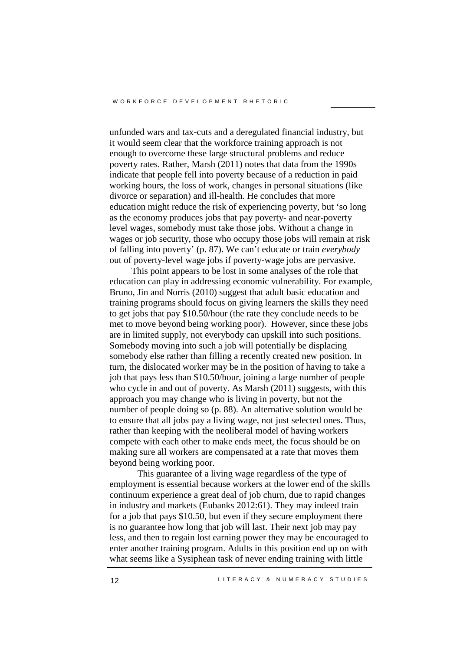unfunded wars and tax-cuts and a deregulated financial industry, but it would seem clear that the workforce training approach is not enough to overcome these large structural problems and reduce poverty rates. Rather, Marsh (2011) notes that data from the 1990s indicate that people fell into poverty because of a reduction in paid working hours, the loss of work, changes in personal situations (like divorce or separation) and ill-health. He concludes that more education might reduce the risk of experiencing poverty, but 'so long as the economy produces jobs that pay poverty- and near-poverty level wages, somebody must take those jobs. Without a change in wages or job security, those who occupy those jobs will remain at risk of falling into poverty' (p. 87). We can't educate or train *everybody* out of poverty-level wage jobs if poverty-wage jobs are pervasive.

This point appears to be lost in some analyses of the role that education can play in addressing economic vulnerability. For example, Bruno, Jin and Norris (2010) suggest that adult basic education and training programs should focus on giving learners the skills they need to get jobs that pay \$10.50/hour (the rate they conclude needs to be met to move beyond being working poor). However, since these jobs are in limited supply, not everybody can upskill into such positions. Somebody moving into such a job will potentially be displacing somebody else rather than filling a recently created new position. In turn, the dislocated worker may be in the position of having to take a job that pays less than \$10.50/hour, joining a large number of people who cycle in and out of poverty. As Marsh (2011) suggests, with this approach you may change who is living in poverty, but not the number of people doing so (p. 88). An alternative solution would be to ensure that all jobs pay a living wage, not just selected ones. Thus, rather than keeping with the neoliberal model of having workers compete with each other to make ends meet, the focus should be on making sure all workers are compensated at a rate that moves them beyond being working poor.

This guarantee of a living wage regardless of the type of employment is essential because workers at the lower end of the skills continuum experience a great deal of job churn, due to rapid changes in industry and markets (Eubanks 2012:61). They may indeed train for a job that pays \$10.50, but even if they secure employment there is no guarantee how long that job will last. Their next job may pay less, and then to regain lost earning power they may be encouraged to enter another training program. Adults in this position end up on with what seems like a Sysiphean task of never ending training with little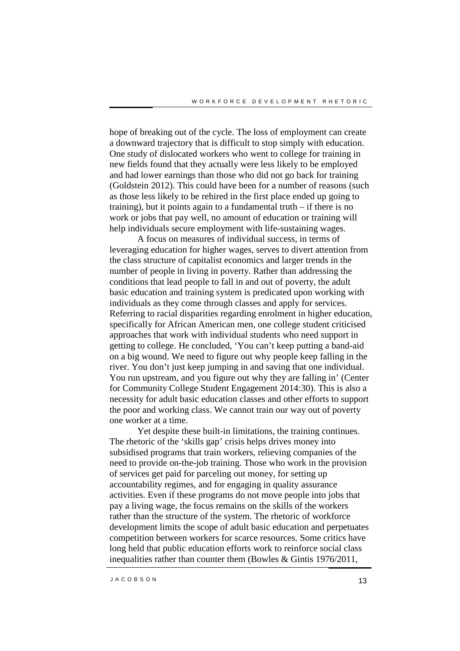hope of breaking out of the cycle. The loss of employment can create a downward trajectory that is difficult to stop simply with education. One study of dislocated workers who went to college for training in new fields found that they actually were less likely to be employed and had lower earnings than those who did not go back for training (Goldstein 2012). This could have been for a number of reasons (such as those less likely to be rehired in the first place ended up going to training), but it points again to a fundamental truth  $-$  if there is no work or jobs that pay well, no amount of education or training will help individuals secure employment with life-sustaining wages.

A focus on measures of individual success, in terms of leveraging education for higher wages, serves to divert attention from the class structure of capitalist economics and larger trends in the number of people in living in poverty. Rather than addressing the conditions that lead people to fall in and out of poverty, the adult basic education and training system is predicated upon working with individuals as they come through classes and apply for services. Referring to racial disparities regarding enrolment in higher education, specifically for African American men, one college student criticised approaches that work with individual students who need support in getting to college. He concluded, 'You can't keep putting a band-aid on a big wound. We need to figure out why people keep falling in the river. You don't just keep jumping in and saving that one individual. You run upstream, and you figure out why they are falling in' (Center for Community College Student Engagement 2014:30). This is also a necessity for adult basic education classes and other efforts to support the poor and working class. We cannot train our way out of poverty one worker at a time.

Yet despite these built-in limitations, the training continues. The rhetoric of the 'skills gap' crisis helps drives money into subsidised programs that train workers, relieving companies of the need to provide on-the-job training. Those who work in the provision of services get paid for parceling out money, for setting up accountability regimes, and for engaging in quality assurance activities. Even if these programs do not move people into jobs that pay a living wage, the focus remains on the skills of the workers rather than the structure of the system. The rhetoric of workforce development limits the scope of adult basic education and perpetuates competition between workers for scarce resources. Some critics have long held that public education efforts work to reinforce social class inequalities rather than counter them (Bowles & Gintis 1976/2011,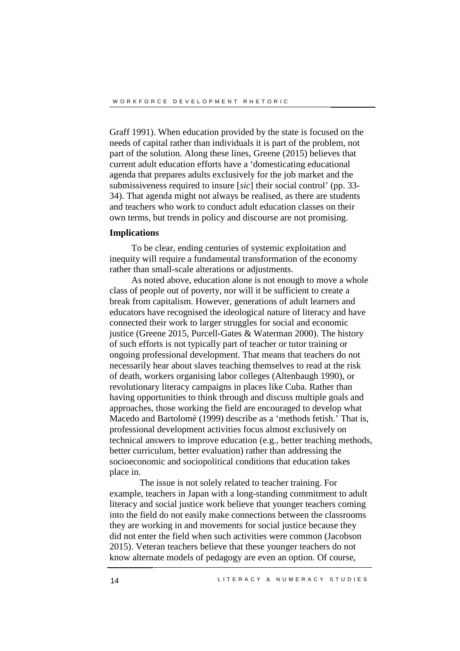Graff 1991). When education provided by the state is focused on the needs of capital rather than individuals it is part of the problem, not part of the solution. Along these lines, Greene (2015) believes that current adult education efforts have a 'domesticating educational agenda that prepares adults exclusively for the job market and the submissiveness required to insure [*sic*] their social control' (pp. 33- 34). That agenda might not always be realised, as there are students and teachers who work to conduct adult education classes on their own terms, but trends in policy and discourse are not promising.

# **Implications**

To be clear, ending centuries of systemic exploitation and inequity will require a fundamental transformation of the economy rather than small-scale alterations or adjustments.

As noted above, education alone is not enough to move a whole class of people out of poverty, nor will it be sufficient to create a break from capitalism. However, generations of adult learners and educators have recognised the ideological nature of literacy and have connected their work to larger struggles for social and economic justice (Greene 2015, Purcell-Gates & Waterman 2000). The history of such efforts is not typically part of teacher or tutor training or ongoing professional development. That means that teachers do not necessarily hear about slaves teaching themselves to read at the risk of death, workers organising labor colleges (Altenbaugh 1990), or revolutionary literacy campaigns in places like Cuba. Rather than having opportunities to think through and discuss multiple goals and approaches, those working the field are encouraged to develop what Macedo and Bartolomè (1999) describe as a 'methods fetish.' That is, professional development activities focus almost exclusively on technical answers to improve education (e.g., better teaching methods, better curriculum, better evaluation) rather than addressing the socioeconomic and sociopolitical conditions that education takes place in.

The issue is not solely related to teacher training. For example, teachers in Japan with a long-standing commitment to adult literacy and social justice work believe that younger teachers coming into the field do not easily make connections between the classrooms they are working in and movements for social justice because they did not enter the field when such activities were common (Jacobson 2015). Veteran teachers believe that these younger teachers do not know alternate models of pedagogy are even an option. Of course,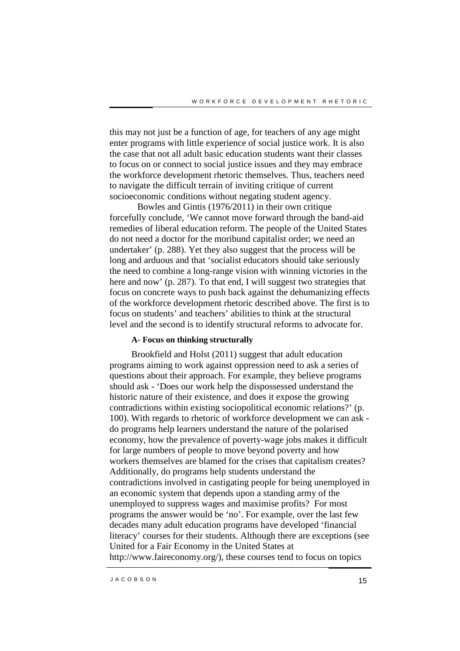this may not just be a function of age, for teachers of any age might enter programs with little experience of social justice work. It is also the case that not all adult basic education students want their classes to focus on or connect to social justice issues and they may embrace the workforce development rhetoric themselves. Thus, teachers need to navigate the difficult terrain of inviting critique of current socioeconomic conditions without negating student agency.

Bowles and Gintis (1976/2011) in their own critique forcefully conclude, 'We cannot move forward through the band-aid remedies of liberal education reform. The people of the United States do not need a doctor for the moribund capitalist order; we need an undertaker' (p. 288). Yet they also suggest that the process will be long and arduous and that 'socialist educators should take seriously the need to combine a long-range vision with winning victories in the here and now' (p. 287). To that end, I will suggest two strategies that focus on concrete ways to push back against the dehumanizing effects of the workforce development rhetoric described above. The first is to focus on students' and teachers' abilities to think at the structural level and the second is to identify structural reforms to advocate for.

# **A- Focus on thinking structurally**

Brookfield and Holst (2011) suggest that adult education programs aiming to work against oppression need to ask a series of questions about their approach. For example, they believe programs should ask - 'Does our work help the dispossessed understand the historic nature of their existence, and does it expose the growing contradictions within existing sociopolitical economic relations?' (p. 100). With regards to rhetoric of workforce development we can ask do programs help learners understand the nature of the polarised economy, how the prevalence of poverty-wage jobs makes it difficult for large numbers of people to move beyond poverty and how workers themselves are blamed for the crises that capitalism creates? Additionally, do programs help students understand the contradictions involved in castigating people for being unemployed in an economic system that depends upon a standing army of the unemployed to suppress wages and maximise profits? For most programs the answer would be 'no'. For example, over the last few decades many adult education programs have developed 'financial literacy' courses for their students. Although there are exceptions (see United for a Fair Economy in the United States at http://www.faireconomy.org/), these courses tend to focus on topics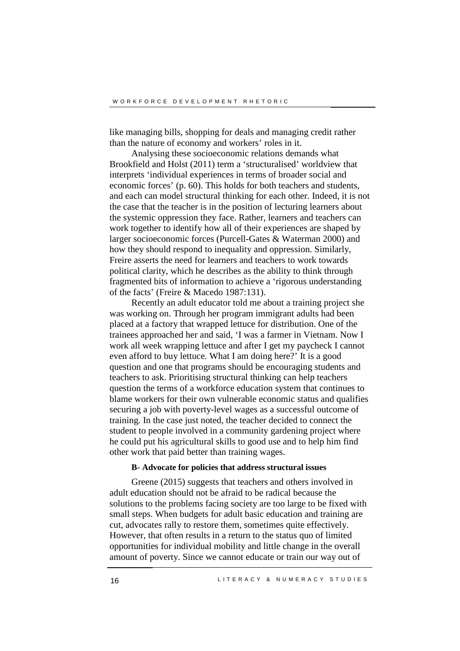like managing bills, shopping for deals and managing credit rather than the nature of economy and workers' roles in it.

Analysing these socioeconomic relations demands what Brookfield and Holst (2011) term a 'structuralised' worldview that interprets 'individual experiences in terms of broader social and economic forces' (p. 60). This holds for both teachers and students, and each can model structural thinking for each other. Indeed, it is not the case that the teacher is in the position of lecturing learners about the systemic oppression they face. Rather, learners and teachers can work together to identify how all of their experiences are shaped by larger socioeconomic forces (Purcell-Gates & Waterman 2000) and how they should respond to inequality and oppression. Similarly, Freire asserts the need for learners and teachers to work towards political clarity, which he describes as the ability to think through fragmented bits of information to achieve a 'rigorous understanding of the facts' (Freire & Macedo 1987:131).

Recently an adult educator told me about a training project she was working on. Through her program immigrant adults had been placed at a factory that wrapped lettuce for distribution. One of the trainees approached her and said, 'I was a farmer in Vietnam. Now I work all week wrapping lettuce and after I get my paycheck I cannot even afford to buy lettuce. What I am doing here?' It is a good question and one that programs should be encouraging students and teachers to ask. Prioritising structural thinking can help teachers question the terms of a workforce education system that continues to blame workers for their own vulnerable economic status and qualifies securing a job with poverty-level wages as a successful outcome of training. In the case just noted, the teacher decided to connect the student to people involved in a community gardening project where he could put his agricultural skills to good use and to help him find other work that paid better than training wages.

#### **B- Advocate for policies that address structural issues**

Greene (2015) suggests that teachers and others involved in adult education should not be afraid to be radical because the solutions to the problems facing society are too large to be fixed with small steps. When budgets for adult basic education and training are cut, advocates rally to restore them, sometimes quite effectively. However, that often results in a return to the status quo of limited opportunities for individual mobility and little change in the overall amount of poverty. Since we cannot educate or train our way out of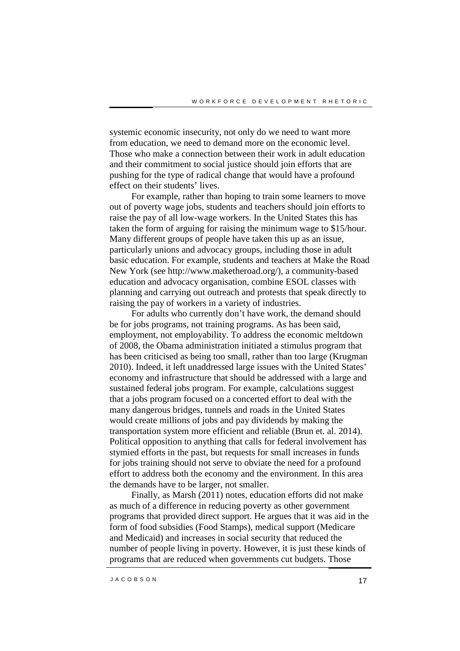systemic economic insecurity, not only do we need to want more from education, we need to demand more on the economic level. Those who make a connection between their work in adult education and their commitment to social justice should join efforts that are pushing for the type of radical change that would have a profound effect on their students' lives.

For example, rather than hoping to train some learners to move out of poverty wage jobs, students and teachers should join efforts to raise the pay of all low-wage workers. In the United States this has taken the form of arguing for raising the minimum wage to \$15/hour. Many different groups of people have taken this up as an issue, particularly unions and advocacy groups, including those in adult basic education. For example, students and teachers at Make the Road New York (see http://www.maketheroad.org/), a community-based education and advocacy organisation, combine ESOL classes with planning and carrying out outreach and protests that speak directly to raising the pay of workers in a variety of industries.

For adults who currently don't have work, the demand should be for jobs programs, not training programs. As has been said, employment, not employability. To address the economic meltdown of 2008, the Obama administration initiated a stimulus program that has been criticised as being too small, rather than too large (Krugman 2010). Indeed, it left unaddressed large issues with the United States' economy and infrastructure that should be addressed with a large and sustained federal jobs program. For example, calculations suggest that a jobs program focused on a concerted effort to deal with the many dangerous bridges, tunnels and roads in the United States would create millions of jobs and pay dividends by making the transportation system more efficient and reliable (Brun et. al. 2014). Political opposition to anything that calls for federal involvement has stymied efforts in the past, but requests for small increases in funds for jobs training should not serve to obviate the need for a profound effort to address both the economy and the environment. In this area the demands have to be larger, not smaller.

Finally, as Marsh (2011) notes, education efforts did not make as much of a difference in reducing poverty as other government programs that provided direct support. He argues that it was aid in the form of food subsidies (Food Stamps), medical support (Medicare and Medicaid) and increases in social security that reduced the number of people living in poverty. However, it is just these kinds of programs that are reduced when governments cut budgets. Those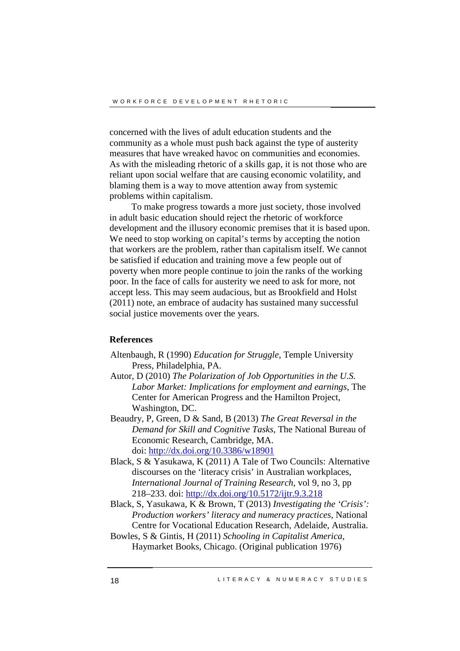concerned with the lives of adult education students and the community as a whole must push back against the type of austerity measures that have wreaked havoc on communities and economies. As with the misleading rhetoric of a skills gap, it is not those who are reliant upon social welfare that are causing economic volatility, and blaming them is a way to move attention away from systemic problems within capitalism.

To make progress towards a more just society, those involved in adult basic education should reject the rhetoric of workforce development and the illusory economic premises that it is based upon. We need to stop working on capital's terms by accepting the notion that workers are the problem, rather than capitalism itself. We cannot be satisfied if education and training move a few people out of poverty when more people continue to join the ranks of the working poor. In the face of calls for austerity we need to ask for more, not accept less. This may seem audacious, but as Brookfield and Holst (2011) note, an embrace of audacity has sustained many successful social justice movements over the years.

# **References**

- Altenbaugh, R (1990) *Education for Struggle*, Temple University Press, Philadelphia, PA.
- Autor, D (2010) *The Polarization of Job Opportunities in the U.S. Labor Market: Implications for employment and earnings*, The Center for American Progress and the Hamilton Project, Washington, DC.
- Beaudry, P, Green, D & Sand, B (2013) *The Great Reversal in the Demand for Skill and Cognitive Tasks*, The National Bureau of Economic Research, Cambridge, MA. doi: <http://dx.doi.org/10.3386/w18901>
- Black, S & Yasukawa, K (2011) A Tale of Two Councils: Alternative discourses on the 'literacy crisis' in Australian workplaces, *International Journal of Training Research,* vol 9, no 3, pp 218–233. doi:<http://dx.doi.org/10.5172/ijtr.9.3.218>
- Black, S, Yasukawa, K & Brown, T (2013) *Investigating the 'Crisis': Production workers' literacy and numeracy practices,* National Centre for Vocational Education Research*,* Adelaide, Australia.
- Bowles, S & Gintis, H (2011) *Schooling in Capitalist America*, Haymarket Books, Chicago. (Original publication 1976)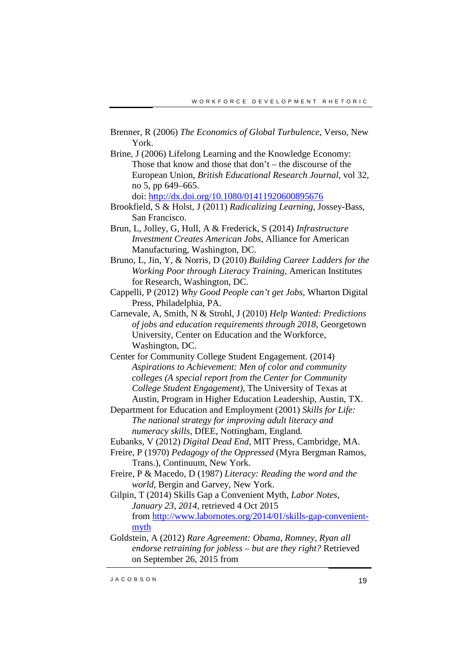- Brenner, R (2006) *The Economics of Global Turbulence*, Verso, New York.
- Brine, J (2006) Lifelong Learning and the Knowledge Economy: Those that know and those that don't – the discourse of the European Union, *British Educational Research Journal*, vol 32, no 5, pp 649–665.

doi:<http://dx.doi.org/10.1080/01411920600895676>

- Brookfield, S & Holst, J (2011) *Radicalizing Learning,* Jossey-Bass, San Francisco.
- Brun, L, Jolley, G, Hull, A & Frederick, S (2014) *Infrastructure Investment Creates American Jobs*, Alliance for American Manufacturing, Washington, DC.
- Bruno, L, Jin, Y, & Norris, D (2010) *Building Career Ladders for the Working Poor through Literacy Training,* American Institutes for Research, Washington, DC.
- Cappelli, P (2012) *Why Good People can't get Jobs*, Wharton Digital Press, Philadelphia, PA.
- Carnevale, A, Smith, N & Strohl, J (2010) *Help Wanted: Predictions of jobs and education requirements through 2018*, Georgetown University, Center on Education and the Workforce, Washington, DC.
- Center for Community College Student Engagement. (2014) *Aspirations to Achievement: Men of color and community colleges (A special report from the Center for Community College Student Engagement),* The University of Texas at Austin, Program in Higher Education Leadership, Austin, TX.
- Department for Education and Employment (2001) *Skills for Life: The national strategy for improving adult literacy and numeracy skills*, DfEE, Nottingham, England.
- Eubanks, V (2012) *Digital Dead End*, MIT Press, Cambridge, MA.
- Freire, P (1970) *Pedagogy of the Oppressed* (Myra Bergman Ramos, Trans.), Continuum, New York.
- Freire, P & Macedo, D (1987) *Literacy: Reading the word and the world*, Bergin and Garvey, New York.
- Gilpin, T (2014) Skills Gap a Convenient Myth, *Labor Notes, January 23, 2014*, retrieved 4 Oct 2015 from [http://www.labornotes.org/2014/01/skills-gap-convenient](http://www.labornotes.org/2014/01/skills-gap-convenient-myth)[myth](http://www.labornotes.org/2014/01/skills-gap-convenient-myth)
- Goldstein, A (2012) *Rare Agreement: Obama, Romney, Ryan all endorse retraining for jobless – but are they right?* Retrieved on September 26, 2015 from

JACOBSON 19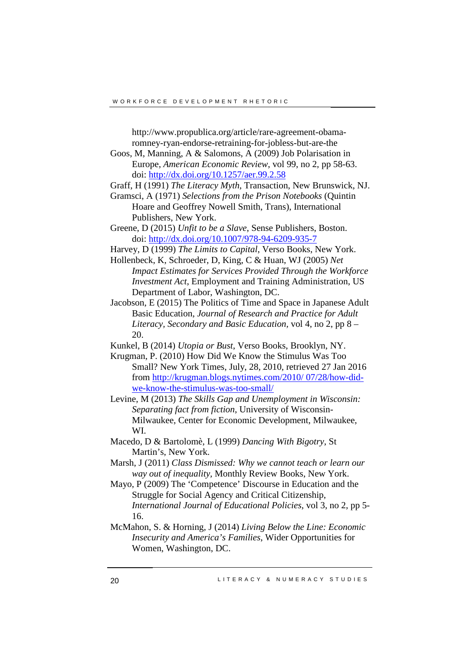http://www.propublica.org/article/rare-agreement-obamaromney-ryan-endorse-retraining-for-jobless-but-are-the

Goos, M, Manning, A & Salomons, A (2009) Job Polarisation in Europe, *American Economic Review*, vol 99, no 2, pp 58-63. doi:<http://dx.doi.org/10.1257/aer.99.2.58>

Graff, H (1991) *The Literacy Myth*, Transaction, New Brunswick, NJ.

- Gramsci, A (1971) *Selections from the Prison Notebooks* (Quintin Hoare and Geoffrey Nowell Smith, Trans), International Publishers, New York.
- Greene, D (2015) *Unfit to be a Slave*, Sense Publishers, Boston. doi:<http://dx.doi.org/10.1007/978-94-6209-935-7>
- Harvey, D (1999) *The Limits to Capital*, Verso Books, New York.
- Hollenbeck, K, Schroeder, D, King, C & Huan, WJ (2005) *Net Impact Estimates for Services Provided Through the Workforce Investment Act*, Employment and Training Administration, US Department of Labor, Washington, DC.
- Jacobson, E (2015) The Politics of Time and Space in Japanese Adult Basic Education, *Journal of Research and Practice for Adult Literacy, Secondary and Basic Education,* vol 4, no 2, pp 8 – 20.
- Kunkel, B (2014) *Utopia or Bust*, Verso Books, Brooklyn, NY.
- Krugman, P. (2010) How Did We Know the Stimulus Was Too Small? New York Times, July, 28, 2010, retrieved 27 Jan 2016 from [http://krugman.blogs.nytimes.com/2010/ 07/28/how-did](http://krugman.blogs.nytimes.com/2010/%2007/28/)[we-know-the-stimulus-was-too-small/](http://krugman.blogs.nytimes.com/2010/%2007/28/)
- Levine, M (2013) *The Skills Gap and Unemployment in Wisconsin: Separating fact from fiction*, University of Wisconsin-Milwaukee, Center for Economic Development, Milwaukee, WI.
- Macedo, D & Bartolomè, L (1999) *Dancing With Bigotry*, St Martin's, New York.
- Marsh, J (2011) *Class Dismissed: Why we cannot teach or learn our way out of inequality,* Monthly Review Books, New York.
- Mayo, P (2009) The 'Competence' Discourse in Education and the Struggle for Social Agency and Critical Citizenship, *International Journal of Educational Policies*, vol 3, no 2, pp 5- 16.

McMahon, S. & Horning, J (2014) *Living Below the Line: Economic Insecurity and America's Families*, Wider Opportunities for Women, Washington, DC.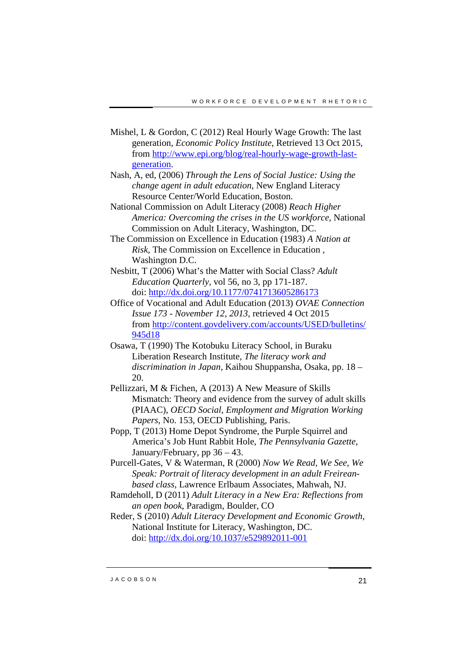- Mishel, L & Gordon, C (2012) Real Hourly Wage Growth: The last generation, *Economic Policy Institute*, Retrieved 13 Oct 2015, from [http://www.epi.org/blog/real-hourly-wage-growth-last](http://www.epi.org/blog/real-hourly-wage-growth-last-generation)[generation.](http://www.epi.org/blog/real-hourly-wage-growth-last-generation)
- Nash, A, ed, (2006) *Through the Lens of Social Justice: Using the change agent in adult education*, New England Literacy Resource Center/World Education, Boston.
- National Commission on Adult Literacy (2008) *Reach Higher America: Overcoming the crises in the US workforce*, National Commission on Adult Literacy, Washington, DC.
- The Commission on Excellence in Education (1983) *A Nation at Risk*, The Commission on Excellence in Education , Washington D.C.
- Nesbitt, T (2006) What's the Matter with Social Class? *Adult Education Quarterly*, vol 56, no 3, pp 171-187. doi:<http://dx.doi.org/10.1177/0741713605286173>
- Office of Vocational and Adult Education (2013) *OVAE Connection Issue 173 - November 12, 2013*, retrieved 4 Oct 2015 from [http://content.govdelivery.com/accounts/USED/bulletins/](http://content.govdelivery.com/accounts/USED/bulletins/945d18) [945d18](http://content.govdelivery.com/accounts/USED/bulletins/945d18)
- Osawa, T (1990) The Kotobuku Literacy School, in Buraku Liberation Research Institute, *The literacy work and discrimination in Japan,* Kaihou Shuppansha, Osaka, pp. 18 – 20.
- Pellizzari, M & Fichen, A (2013) A New Measure of Skills Mismatch: Theory and evidence from the survey of adult skills (PIAAC), *OECD Social, Employment and Migration Working Papers*, No. 153, OECD Publishing, Paris.
- Popp, T (2013) Home Depot Syndrome, the Purple Squirrel and America's Job Hunt Rabbit Hole, *The Pennsylvania Gazette*, January/February, pp 36 – 43.
- Purcell-Gates, V & Waterman, R (2000) *Now We Read, We See, We Speak: Portrait of literacy development in an adult Freireanbased class*, Lawrence Erlbaum Associates, Mahwah, NJ.
- Ramdeholl, D (2011) *Adult Literacy in a New Era: Reflections from an open book*, Paradigm, Boulder, CO

Reder, S (2010) *Adult Literacy Development and Economic Growth*, National Institute for Literacy, Washington, DC. doi:<http://dx.doi.org/10.1037/e529892011-001>